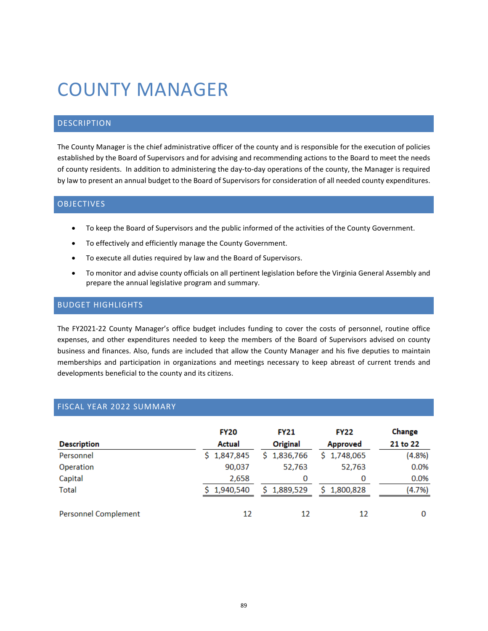# COUNTY MANAGER

# DESCRIPTION

The County Manager is the chief administrative officer of the county and is responsible for the execution of policies established by the Board of Supervisors and for advising and recommending actions to the Board to meet the needs of county residents. In addition to administering the day-to-day operations of the county, the Manager is required by law to present an annual budget to the Board of Supervisors for consideration of all needed county expenditures.

### OBJECTIVES

- To keep the Board of Supervisors and the public informed of the activities of the County Government.
- To effectively and efficiently manage the County Government.
- To execute all duties required by law and the Board of Supervisors.
- To monitor and advise county officials on all pertinent legislation before the Virginia General Assembly and prepare the annual legislative program and summary.

## BUDGET HIGHLIGHTS

The FY2021-22 County Manager's office budget includes funding to cover the costs of personnel, routine office expenses, and other expenditures needed to keep the members of the Board of Supervisors advised on county business and finances. Also, funds are included that allow the County Manager and his five deputies to maintain memberships and participation in organizations and meetings necessary to keep abreast of current trends and developments beneficial to the county and its citizens.

### FISCAL YEAR 2022 SUMMARY

|                             | <b>FY20</b>   | <b>FY21</b> | <b>FY22</b>     | Change   |
|-----------------------------|---------------|-------------|-----------------|----------|
| <b>Description</b>          | <b>Actual</b> | Original    | <b>Approved</b> | 21 to 22 |
| Personnel                   | \$1,847,845   | \$1,836,766 | \$1,748,065     | (4.8%)   |
| Operation                   | 90,037        | 52,763      | 52,763          | 0.0%     |
| Capital                     | 2,658         | 0           | 0               | 0.0%     |
| <b>Total</b>                | \$1,940,540   | \$1,889,529 | \$1,800,828     | (4.7%)   |
| <b>Personnel Complement</b> | 12            | 12          | 12              | 0        |